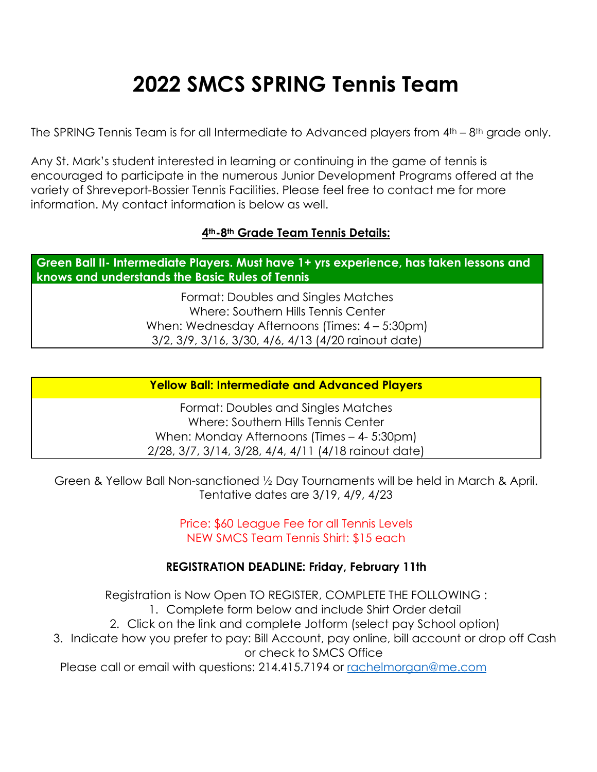# **2022 SMCS SPRING Tennis Team**

The SPRING Tennis Team is for all Intermediate to Advanced players from  $4^{th}$  – 8<sup>th</sup> grade only.

Any St. Mark's student interested in learning or continuing in the game of tennis is encouraged to participate in the numerous Junior Development Programs offered at the variety of Shreveport-Bossier Tennis Facilities. Please feel free to contact me for more information. My contact information is below as well.

## **4th-8th Grade Team Tennis Details:**

**Green Ball II- Intermediate Players. Must have 1+ yrs experience, has taken lessons and knows and understands the Basic Rules of Tennis**

> Format: Doubles and Singles Matches Where: Southern Hills Tennis Center When: Wednesday Afternoons (Times: 4 – 5:30pm) 3/2, 3/9, 3/16, 3/30, 4/6, 4/13 (4/20 rainout date)

#### **Yellow Ball: Intermediate and Advanced Players**

Format: Doubles and Singles Matches Where: Southern Hills Tennis Center When: Monday Afternoons (Times – 4- 5:30pm) 2/28, 3/7, 3/14, 3/28, 4/4, 4/11 (4/18 rainout date)

Green & Yellow Ball Non-sanctioned ½ Day Tournaments will be held in March & April. Tentative dates are 3/19, 4/9, 4/23

> Price: \$60 League Fee for all Tennis Levels NEW SMCS Team Tennis Shirt: \$15 each

#### **REGISTRATION DEADLINE: Friday, February 11th**

Registration is Now Open TO REGISTER, COMPLETE THE FOLLOWING : 1. Complete form below and include Shirt Order detail 2. Click on the link and complete Jotform (select pay School option) 3. Indicate how you prefer to pay: Bill Account, pay online, bill account or drop off Cash or check to SMCS Office Please call or email with questions: 214.415.7194 or [rachelmorgan@me.com](mailto:rachelmorgan@me.com)